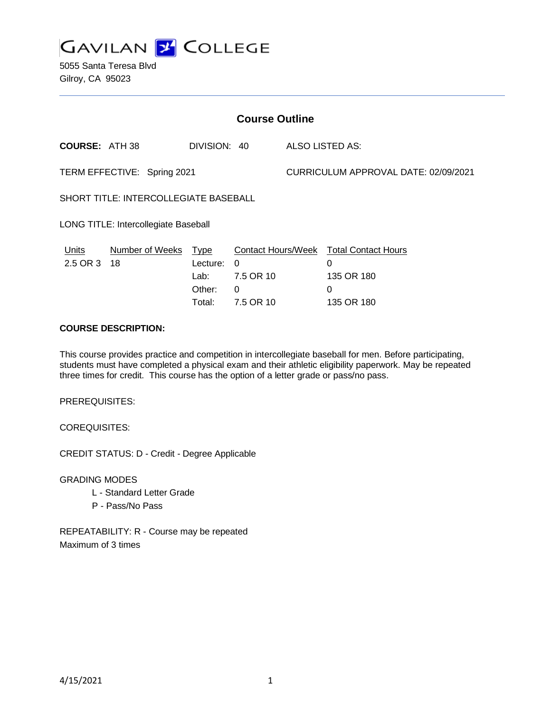

5055 Santa Teresa Blvd Gilroy, CA 95023

| <b>Course Outline</b>                        |                       |                                                     |                                                                             |                                      |                                                                  |
|----------------------------------------------|-----------------------|-----------------------------------------------------|-----------------------------------------------------------------------------|--------------------------------------|------------------------------------------------------------------|
| <b>COURSE: ATH 38</b>                        |                       | DIVISION: 40                                        |                                                                             | ALSO LISTED AS:                      |                                                                  |
| TERM EFFECTIVE: Spring 2021                  |                       |                                                     |                                                                             | CURRICULUM APPROVAL DATE: 02/09/2021 |                                                                  |
| <b>SHORT TITLE: INTERCOLLEGIATE BASEBALL</b> |                       |                                                     |                                                                             |                                      |                                                                  |
| LONG TITLE: Intercollegiate Baseball         |                       |                                                     |                                                                             |                                      |                                                                  |
| <b>Units</b><br>2.5 OR 3                     | Number of Weeks<br>18 | <u>Type</u><br>Lecture:<br>Lab:<br>Other:<br>Total: | <b>Contact Hours/Week</b><br>$\Omega$<br>7.5 OR 10<br>$\Omega$<br>7.5 OR 10 |                                      | <b>Total Contact Hours</b><br>0<br>135 OR 180<br>0<br>135 OR 180 |

## **COURSE DESCRIPTION:**

This course provides practice and competition in intercollegiate baseball for men. Before participating, students must have completed a physical exam and their athletic eligibility paperwork. May be repeated three times for credit. This course has the option of a letter grade or pass/no pass.

PREREQUISITES:

COREQUISITES:

CREDIT STATUS: D - Credit - Degree Applicable

GRADING MODES

- L Standard Letter Grade
- P Pass/No Pass

REPEATABILITY: R - Course may be repeated Maximum of 3 times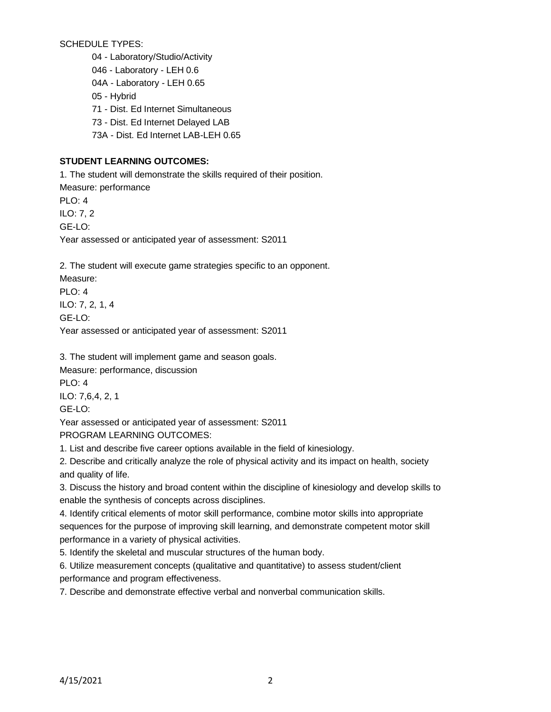SCHEDULE TYPES:

04 - Laboratory/Studio/Activity

046 - Laboratory - LEH 0.6

04A - Laboratory - LEH 0.65

05 - Hybrid

71 - Dist. Ed Internet Simultaneous

73 - Dist. Ed Internet Delayed LAB

73A - Dist. Ed Internet LAB-LEH 0.65

# **STUDENT LEARNING OUTCOMES:**

1. The student will demonstrate the skills required of their position. Measure: performance PLO: 4 ILO: 7, 2 GE-LO: Year assessed or anticipated year of assessment: S2011

2. The student will execute game strategies specific to an opponent.

Measure: PLO: 4 ILO: 7, 2, 1, 4 GE-LO:

Year assessed or anticipated year of assessment: S2011

3. The student will implement game and season goals.

Measure: performance, discussion

PLO: 4 ILO: 7,6,4, 2, 1

GE-LO:

Year assessed or anticipated year of assessment: S2011

PROGRAM LEARNING OUTCOMES:

1. List and describe five career options available in the field of kinesiology.

2. Describe and critically analyze the role of physical activity and its impact on health, society and quality of life.

3. Discuss the history and broad content within the discipline of kinesiology and develop skills to enable the synthesis of concepts across disciplines.

4. Identify critical elements of motor skill performance, combine motor skills into appropriate sequences for the purpose of improving skill learning, and demonstrate competent motor skill performance in a variety of physical activities.

5. Identify the skeletal and muscular structures of the human body.

6. Utilize measurement concepts (qualitative and quantitative) to assess student/client performance and program effectiveness.

7. Describe and demonstrate effective verbal and nonverbal communication skills.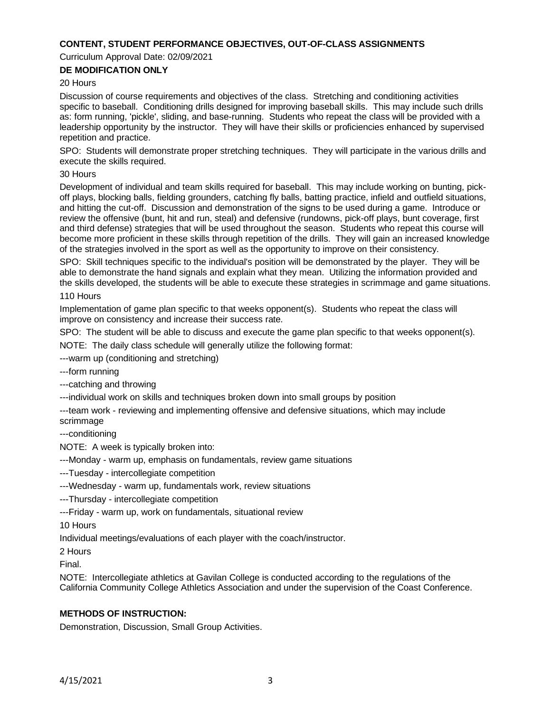### **CONTENT, STUDENT PERFORMANCE OBJECTIVES, OUT-OF-CLASS ASSIGNMENTS**

Curriculum Approval Date: 02/09/2021

# **DE MODIFICATION ONLY**

#### 20 Hours

Discussion of course requirements and objectives of the class. Stretching and conditioning activities specific to baseball. Conditioning drills designed for improving baseball skills. This may include such drills as: form running, 'pickle', sliding, and base-running. Students who repeat the class will be provided with a leadership opportunity by the instructor. They will have their skills or proficiencies enhanced by supervised repetition and practice.

SPO: Students will demonstrate proper stretching techniques. They will participate in the various drills and execute the skills required.

#### 30 Hours

Development of individual and team skills required for baseball. This may include working on bunting, pickoff plays, blocking balls, fielding grounders, catching fly balls, batting practice, infield and outfield situations, and hitting the cut-off. Discussion and demonstration of the signs to be used during a game. Introduce or review the offensive (bunt, hit and run, steal) and defensive (rundowns, pick-off plays, bunt coverage, first and third defense) strategies that will be used throughout the season. Students who repeat this course will become more proficient in these skills through repetition of the drills. They will gain an increased knowledge of the strategies involved in the sport as well as the opportunity to improve on their consistency.

SPO: Skill techniques specific to the individual's position will be demonstrated by the player. They will be able to demonstrate the hand signals and explain what they mean. Utilizing the information provided and the skills developed, the students will be able to execute these strategies in scrimmage and game situations.

#### 110 Hours

Implementation of game plan specific to that weeks opponent(s). Students who repeat the class will improve on consistency and increase their success rate.

SPO: The student will be able to discuss and execute the game plan specific to that weeks opponent(s).

NOTE: The daily class schedule will generally utilize the following format:

---warm up (conditioning and stretching)

---form running

---catching and throwing

---individual work on skills and techniques broken down into small groups by position

---team work - reviewing and implementing offensive and defensive situations, which may include scrimmage

---conditioning

NOTE: A week is typically broken into:

---Monday - warm up, emphasis on fundamentals, review game situations

---Tuesday - intercollegiate competition

---Wednesday - warm up, fundamentals work, review situations

---Thursday - intercollegiate competition

---Friday - warm up, work on fundamentals, situational review

10 Hours

Individual meetings/evaluations of each player with the coach/instructor.

2 Hours

Final.

NOTE: Intercollegiate athletics at Gavilan College is conducted according to the regulations of the California Community College Athletics Association and under the supervision of the Coast Conference.

# **METHODS OF INSTRUCTION:**

Demonstration, Discussion, Small Group Activities.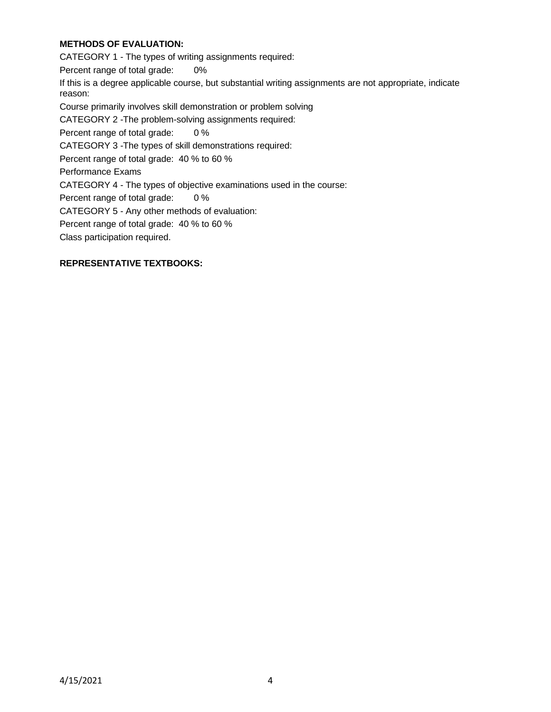# **METHODS OF EVALUATION:**

CATEGORY 1 - The types of writing assignments required: Percent range of total grade: 0% If this is a degree applicable course, but substantial writing assignments are not appropriate, indicate reason: Course primarily involves skill demonstration or problem solving CATEGORY 2 -The problem-solving assignments required: Percent range of total grade: 0 % CATEGORY 3 -The types of skill demonstrations required: Percent range of total grade: 40 % to 60 % Performance Exams CATEGORY 4 - The types of objective examinations used in the course: Percent range of total grade: 0 % CATEGORY 5 - Any other methods of evaluation: Percent range of total grade: 40 % to 60 % Class participation required.

### **REPRESENTATIVE TEXTBOOKS:**